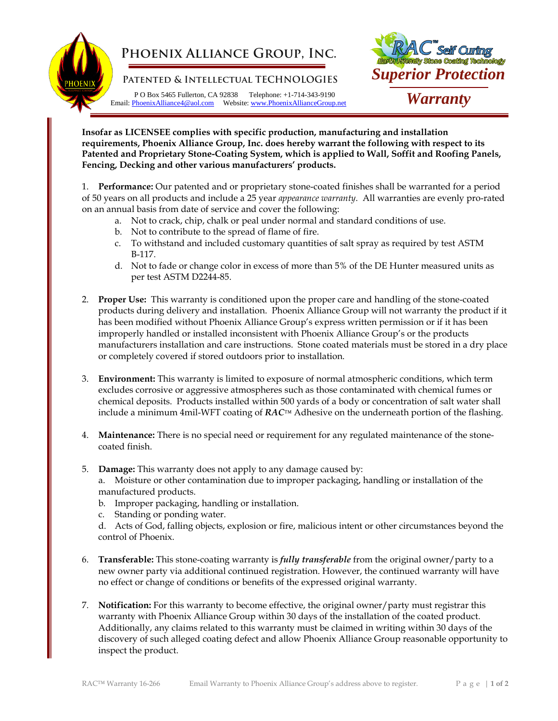

## **Phoenix Alliance Group, Inc.**

## **Patented & Intellectual TECHNOLOGIES**

 $\overline{a}$ P O Box 5465 Fullerton, CA 92838 Telephone: +1-714-343-9190 Email[: PhoenixAlliance4@aol.com](mailto:PhoenixAlliance4@aol.com) Website[: www.PhoenixAllianceGroup.net](http://www.phoenixalliancegroup.net/) 



**Insofar as LICENSEE complies with specific production, manufacturing and installation requirements, Phoenix Alliance Group, Inc. does hereby warrant the following with respect to its Patented and Proprietary Stone-Coating System, which is applied to Wall, Soffit and Roofing Panels, Fencing, Decking and other various manufacturers' products.**

1. **Performance:** Our patented and or proprietary stone-coated finishes shall be warranted for a period of 50 years on all products and include a 25 year *appearance warranty*. All warranties are evenly pro-rated on an annual basis from date of service and cover the following:

- a. Not to crack, chip, chalk or peal under normal and standard conditions of use.
- b. Not to contribute to the spread of flame of fire.
- c. To withstand and included customary quantities of salt spray as required by test ASTM B-117.
- d. Not to fade or change color in excess of more than 5% of the DE Hunter measured units as per test ASTM D2244-85.
- 2. **Proper Use:** This warranty is conditioned upon the proper care and handling of the stone-coated products during delivery and installation. Phoenix Alliance Group will not warranty the product if it has been modified without Phoenix Alliance Group's express written permission or if it has been improperly handled or installed inconsistent with Phoenix Alliance Group's or the products manufacturers installation and care instructions. Stone coated materials must be stored in a dry place or completely covered if stored outdoors prior to installation.
- 3. **Environment:** This warranty is limited to exposure of normal atmospheric conditions, which term excludes corrosive or aggressive atmospheres such as those contaminated with chemical fumes or chemical deposits. Products installed within 500 yards of a body or concentration of salt water shall include a minimum 4mil-WFT coating of *RAC*™ Adhesive on the underneath portion of the flashing.
- 4. **Maintenance:** There is no special need or requirement for any regulated maintenance of the stonecoated finish.
- 5. **Damage:** This warranty does not apply to any damage caused by:

a. Moisture or other contamination due to improper packaging, handling or installation of the manufactured products.

- b. Improper packaging, handling or installation.
- c. Standing or ponding water.

d. Acts of God, falling objects, explosion or fire, malicious intent or other circumstances beyond the control of Phoenix.

- 6. **Transferable:** This stone-coating warranty is *fully transferable* from the original owner/party to a new owner party via additional continued registration. However, the continued warranty will have no effect or change of conditions or benefits of the expressed original warranty.
- 7. **Notification:** For this warranty to become effective, the original owner/party must registrar this warranty with Phoenix Alliance Group within 30 days of the installation of the coated product. Additionally, any claims related to this warranty must be claimed in writing within 30 days of the discovery of such alleged coating defect and allow Phoenix Alliance Group reasonable opportunity to inspect the product.